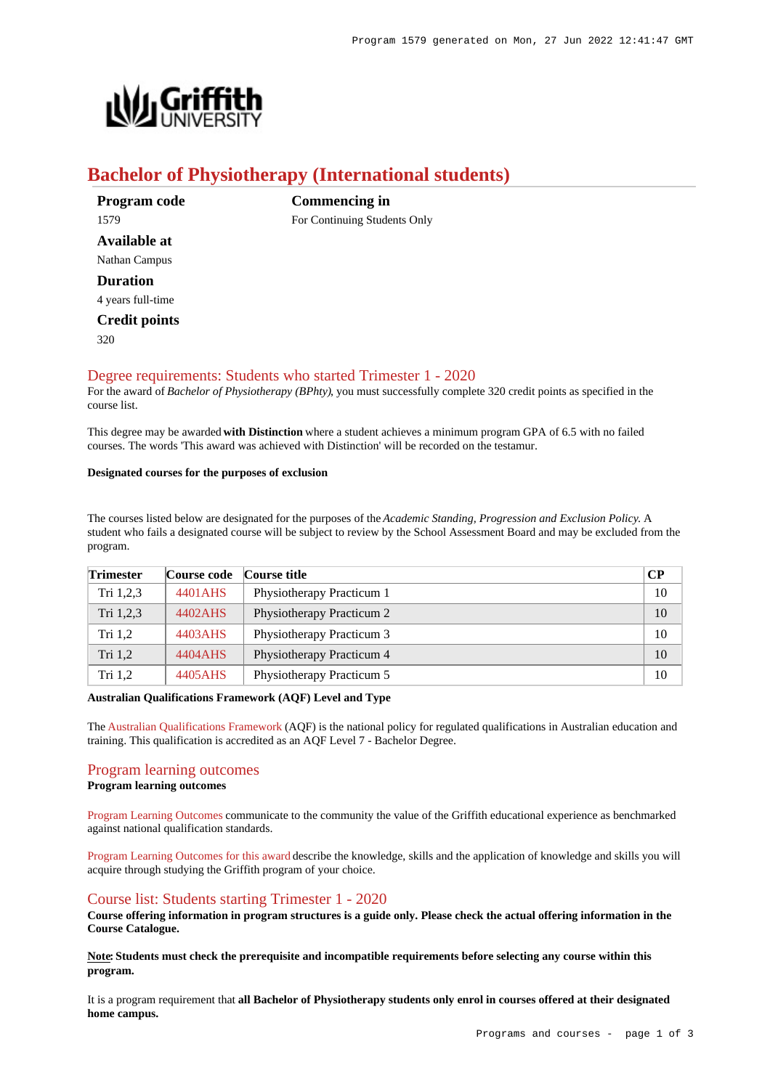

# **Bachelor of Physiotherapy (International students)**

**Commencing in**

For Continuing Students Only

**Program code** 1579 **Available at** Nathan Campus **Duration** 4 years full-time **Credit points**

 $320$ 

## [Degree requirements: Students who started Trimester 1 - 2020](https://www148.griffith.edu.au/programs-courses/Program/1579/Courses/International#degree-requirements)

For the award of *Bachelor of Physiotherapy (BPhty)*, you must successfully complete 320 credit points as specified in the course list.

This degree may be awarded **with Distinction** where a student achieves a minimum program GPA of 6.5 with no failed courses. The words 'This award was achieved with Distinction' will be recorded on the testamur.

### **Designated courses for the purposes of exclusion**

The courses listed below are designated for the purposes of the *Academic Standing, Progression and Exclusion Policy*. A student who fails a designated course will be subject to review by the School Assessment Board and may be excluded from the program.

| <b>Trimester</b> | Course code | Course title              | $\bf CP$ |
|------------------|-------------|---------------------------|----------|
| Tri $1,2,3$      | 4401AHS     | Physiotherapy Practicum 1 | 10       |
| Tri $1,2,3$      | 4402AHS     | Physiotherapy Practicum 2 | 10       |
| Tri $1,2$        | 4403AHS     | Physiotherapy Practicum 3 | 10       |
| Tri $1,2$        | 4404 AHS    | Physiotherapy Practicum 4 | 10       |
| Tri $1,2$        | 4405AHS     | Physiotherapy Practicum 5 | 10       |

### **Australian Qualifications Framework (AQF) Level and Type**

The [Australian Qualifications Framework](http://www.aqf.edu.au/) (AQF) is the national policy for regulated qualifications in Australian education and training. This qualification is accredited as an AQF Level 7 - Bachelor Degree.

## [Program learning outcomes](https://www148.griffith.edu.au/programs-courses/Program/1579/Courses/International#programLearningOutcomes)

**Program learning outcomes**

[Program Learning Outcomes](https://www.griffith.edu.au/__data/assets/pdf_file/0017/134522/PLO-general-advice.pdf) communicate to the community the value of the Griffith educational experience as benchmarked against national qualification standards.

[Program Learning Outcomes for this award](https://www.griffith.edu.au/__data/assets/pdf_file/0028/295651/BPhysiotherapy-PLO-L7.pdf) describe the knowledge, skills and the application of knowledge and skills you will acquire through studying the Griffith program of your choice.

## [Course list: Students starting Trimester 1 - 2020](https://www148.griffith.edu.au/programs-courses/Program/1579/Courses/International#course-list-content)

**Course offering information in program structures is a guide only. Please check the actual offering information in the Course Catalogue.**

**Note: Students must check the prerequisite and incompatible requirements before selecting any course within this program.**

It is a program requirement that **all Bachelor of Physiotherapy students only enrol in courses offered at their designated home campus.**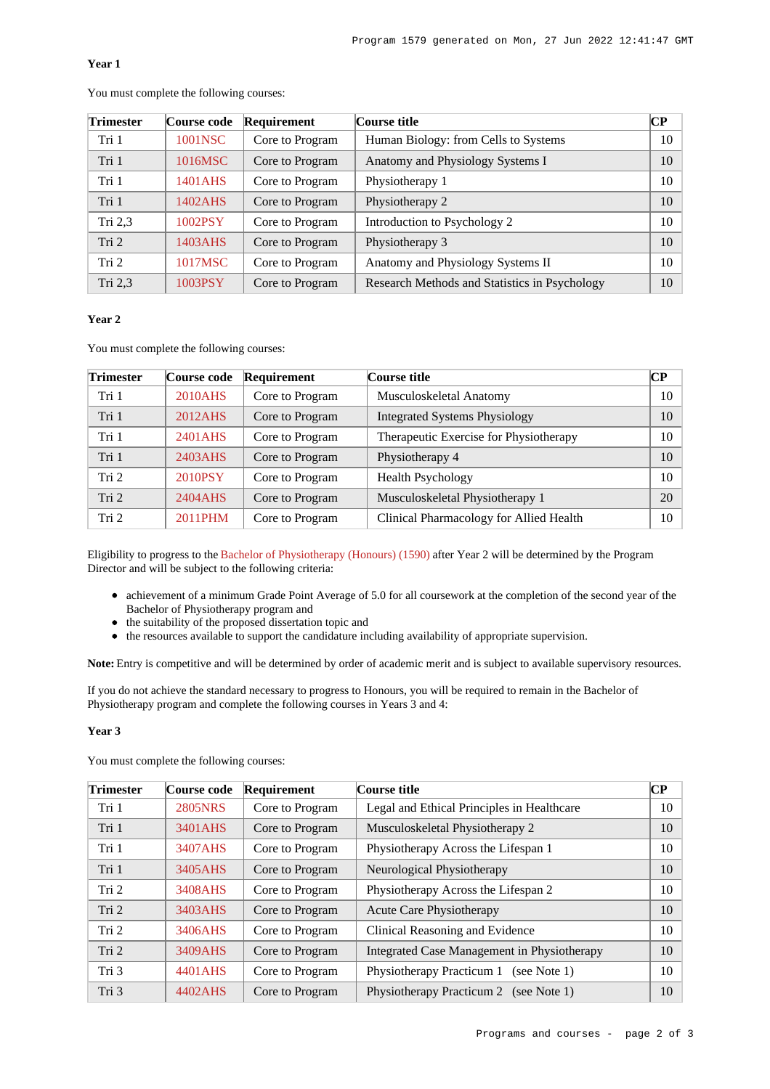## **Year 1**

| <b>Trimester</b> | <b>Course code</b> | Requirement     | Course title                                  | CР |
|------------------|--------------------|-----------------|-----------------------------------------------|----|
| Tri 1            | 1001NSC            | Core to Program | Human Biology: from Cells to Systems          | 10 |
| Tri 1            | 1016MSC            | Core to Program | Anatomy and Physiology Systems I              | 10 |
| Tri 1            | 1401AHS            | Core to Program | Physiotherapy 1                               | 10 |
| Tri 1            | 1402AHS            | Core to Program | Physiotherapy 2                               | 10 |
| Tri $2,3$        | 1002PSY            | Core to Program | Introduction to Psychology 2                  | 10 |
| Tri <sub>2</sub> | 1403AHS            | Core to Program | Physiotherapy 3                               | 10 |
| Tri 2            | 1017MSC            | Core to Program | Anatomy and Physiology Systems II             | 10 |
| Tri 2,3          | 1003PSY            | Core to Program | Research Methods and Statistics in Psychology | 10 |

You must complete the following courses:

#### **Year 2**

You must complete the following courses:

| <b>Trimester</b> | Course code | Requirement     | Course title                            | CР |
|------------------|-------------|-----------------|-----------------------------------------|----|
| Tri 1            | 2010AHS     | Core to Program | Musculoskeletal Anatomy                 | 10 |
| Tri 1            | 2012AHS     | Core to Program | <b>Integrated Systems Physiology</b>    | 10 |
| Tri 1            | 2401AHS     | Core to Program | Therapeutic Exercise for Physiotherapy  | 10 |
| Tri 1            | 2403AHS     | Core to Program | Physiotherapy 4                         | 10 |
| Tri 2            | 2010PSY     | Core to Program | <b>Health Psychology</b>                | 10 |
| Tri 2            | 2404 AHS    | Core to Program | Musculoskeletal Physiotherapy 1         | 20 |
| Tri 2            | 2011PHM     | Core to Program | Clinical Pharmacology for Allied Health | 10 |

Eligibility to progress to the [Bachelor of Physiotherapy \(Honours\) \(1590\)](https://www148.griffith.edu.au/Search/Results?SearchText=1590) after Year 2 will be determined by the Program Director and will be subject to the following criteria:

- achievement of a minimum Grade Point Average of 5.0 for all coursework at the completion of the second year of the Bachelor of Physiotherapy program and
- the suitability of the proposed dissertation topic and
- the resources available to support the candidature including availability of appropriate supervision.

**Note:** Entry is competitive and will be determined by order of academic merit and is subject to available supervisory resources.

If you do not achieve the standard necessary to progress to Honours, you will be required to remain in the Bachelor of Physiotherapy program and complete the following courses in Years 3 and 4:

## **Year 3**

You must complete the following courses:

| <b>Trimester</b> | Course code    | Requirement     | Course title                                | $\overline{\mathbf{CP}}$ |
|------------------|----------------|-----------------|---------------------------------------------|--------------------------|
| Tri 1            | <b>2805NRS</b> | Core to Program | Legal and Ethical Principles in Healthcare  | 10                       |
| Tri 1            | 3401AHS        | Core to Program | Musculoskeletal Physiotherapy 2             | 10                       |
| Tri 1            | 3407AHS        | Core to Program | Physiotherapy Across the Lifespan 1         | 10                       |
| Tri 1            | 3405AHS        | Core to Program | Neurological Physiotherapy                  | 10                       |
| Tri 2            | 3408AHS        | Core to Program | Physiotherapy Across the Lifespan 2         | 10                       |
| Tri 2            | 3403AHS        | Core to Program | Acute Care Physiotherapy                    | 10                       |
| Tri 2            | 3406AHS        | Core to Program | Clinical Reasoning and Evidence             | 10                       |
| Tri 2            | 3409AHS        | Core to Program | Integrated Case Management in Physiotherapy | 10                       |
| Tri 3            | 4401 AHS       | Core to Program | Physiotherapy Practicum 1<br>(see Note 1)   | 10                       |
| Tri 3            | 4402AHS        | Core to Program | Physiotherapy Practicum 2 (see Note 1)      | 10                       |